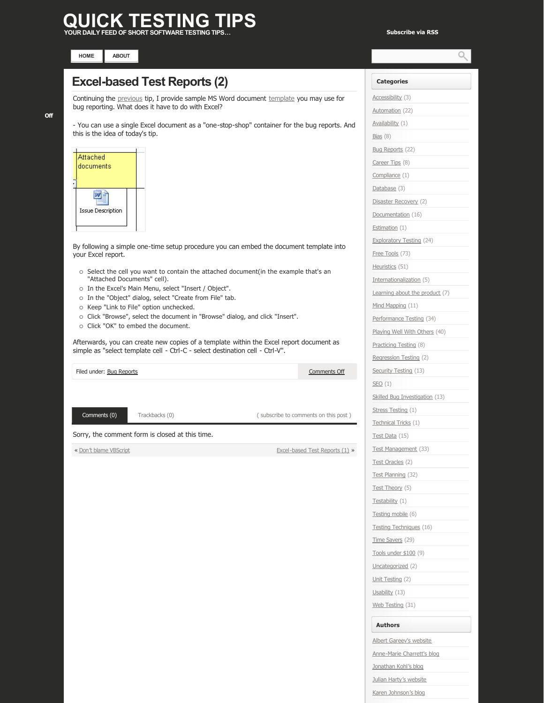# **QUICK TESTING TIPS**

**YOUR DAILY FEED OF SHORT SOFTWARE TESTING TIPS… [Subscribe via RSS](http://www.quicktestingtips.com/tips/feed/)**



## **Excel-based Test Reports (2)**

Continuing the [previous](http://www.quicktestingtips.com/tips/2010/09/excel-based-test-reports-1/) tip, I provide sample MS Word document [template](http://www.quicktestingtips.com/tips/wp-content/uploads/2010/09/Issue-nn.doc) you may use for bug reporting. What does it have to do with Excel?

- You can use a single Excel document as a "one-stop-shop" container for the bug reports. And this is the idea of today's tip.



By following a simple one-time setup procedure you can embed the document template into your Excel report.

- o Select the cell you want to contain the attached document(in the example that's an "Attached Documents" cell).
- o In the Excel's Main Menu, select "Insert / Object".
- o In the "Object" dialog, select "Create from File" tab.
- o Keep "Link to File" option unchecked.
- ¡ Click "Browse", select the document in "Browse" dialog, and click "Insert".
- o Click "OK" to embed the document.

Afterwards, you can create new copies of a template within the Excel report document as simple as "select template cell - Ctrl-C - select destination cell - Ctrl-V".

| Filed under: Bug Reports                        |                |  | Comments Off                         |
|-------------------------------------------------|----------------|--|--------------------------------------|
|                                                 |                |  |                                      |
|                                                 |                |  |                                      |
| Comments (0)                                    | Trackbacks (0) |  | (subscribe to comments on this post) |
| Sorry, the comment form is closed at this time. |                |  |                                      |
| « Don't blame VBScript                          |                |  | Excel-based Test Reports (1) »       |
|                                                 |                |  |                                      |

## **Categories** [Accessibility](http://www.quicktestingtips.com/tips/category/accessibility/) (3) [Automation](http://www.quicktestingtips.com/tips/category/automation/) (22) [Availability](http://www.quicktestingtips.com/tips/category/availability/) (1) [Bias](http://www.quicktestingtips.com/tips/category/bias/) (8) [Bug Reports](http://www.quicktestingtips.com/tips/category/bug-reports/) (22) [Career Tips](http://www.quicktestingtips.com/tips/category/career-tips/) (8) [Compliance](http://www.quicktestingtips.com/tips/category/compliance/) (1) [Database](http://www.quicktestingtips.com/tips/category/database/) (3) [Disaster Recovery](http://www.quicktestingtips.com/tips/category/disaster-recovery/) (2) [Documentation](http://www.quicktestingtips.com/tips/category/documentation/) (16) [Estimation](http://www.quicktestingtips.com/tips/category/estimation/) (1) [Exploratory Testing](http://www.quicktestingtips.com/tips/category/exploratory-testing/) (24) [Free Tools](http://www.quicktestingtips.com/tips/category/free-tools/) (73) [Heuristics](http://www.quicktestingtips.com/tips/category/heuristics/) (51) [Internationalization](http://www.quicktestingtips.com/tips/category/internationalization/) (5) [Learning about the product](http://www.quicktestingtips.com/tips/category/learning-about-the-product/) (7) [Mind Mapping](http://www.quicktestingtips.com/tips/category/mind-mapping/) (11) [Performance Testing](http://www.quicktestingtips.com/tips/category/performance-testing/) (34) [Playing Well With Others](http://www.quicktestingtips.com/tips/category/playing-well-with-others/) (40) [Practicing Testing](http://www.quicktestingtips.com/tips/category/practicing-testing/) (8) [Regression Testing](http://www.quicktestingtips.com/tips/category/regression-testing/) (2) [Security Testing](http://www.quicktestingtips.com/tips/category/security-testing/) (13)  $SEO(1)$  $SEO(1)$ [Skilled Bug Investigation](http://www.quicktestingtips.com/tips/category/skilled-bug-investigation/) (13) [Stress Testing](http://www.quicktestingtips.com/tips/category/stress-testing/) (1) [Technical Tricks](http://www.quicktestingtips.com/tips/category/technical-tricks/) (1) [Test Data](http://www.quicktestingtips.com/tips/category/test-data/) (15) [Test Management](http://www.quicktestingtips.com/tips/category/test-management/) (33) [Test Oracles](http://www.quicktestingtips.com/tips/category/test-oracles/) (2) [Test Planning](http://www.quicktestingtips.com/tips/category/test-planning/) (32) [Test Theory](http://www.quicktestingtips.com/tips/category/test-theory/) (5) [Testability](http://www.quicktestingtips.com/tips/category/testability/) (1) [Testing mobile](http://www.quicktestingtips.com/tips/category/testing-mobile/) (6) [Testing Techniques](http://www.quicktestingtips.com/tips/category/testing-techniques/) (16) [Time Savers](http://www.quicktestingtips.com/tips/category/time-savers/) (29) [Tools under \\$100](http://www.quicktestingtips.com/tips/category/tools-under-100/) (9) [Uncategorized](http://www.quicktestingtips.com/tips/category/uncategorized/) (2) [Unit Testing](http://www.quicktestingtips.com/tips/category/unit-testing/) (2) [Usability](http://www.quicktestingtips.com/tips/category/usability/) (13) [Web Testing](http://www.quicktestingtips.com/tips/category/web-testing/) (31)

### **Authors**

[Albert Gareev's website](http://automation-beyond.com/) Anne-Marie Charrett's blog [Jonathan Kohl's blog](http://www.kohl.ca/blog/) [Julian Harty's website](http://sites.google.com/a/julianharty.org/testing/Home) [Karen Johnson's blog](http://www.testingreflections.com/blog/3804)

#### **[Off](http://www.quicktestingtips.com/tips/2010/10/excel-based-test-reports-2/#comments)**